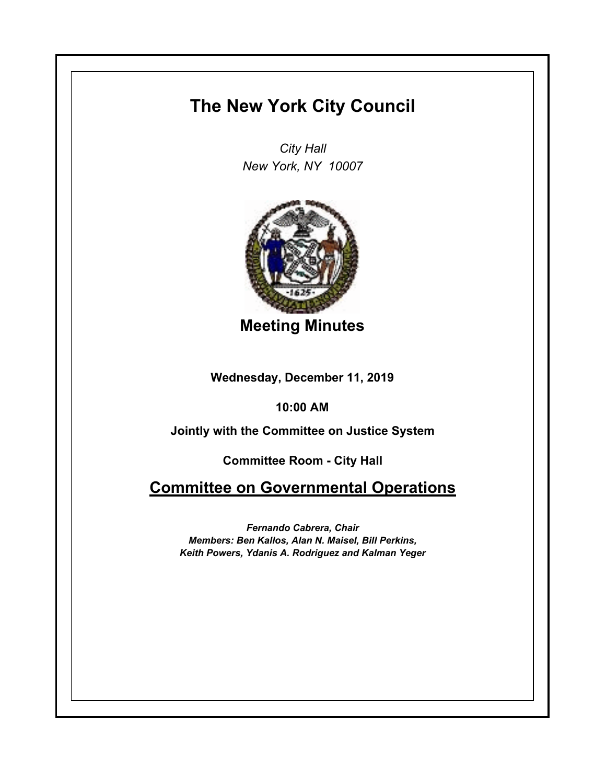## **The New York City Council**

*City Hall New York, NY 10007*



**Meeting Minutes**

**Wednesday, December 11, 2019**

**10:00 AM**

**Jointly with the Committee on Justice System**

**Committee Room - City Hall**

**Committee on Governmental Operations**

*Fernando Cabrera, Chair Members: Ben Kallos, Alan N. Maisel, Bill Perkins, Keith Powers, Ydanis A. Rodriguez and Kalman Yeger*